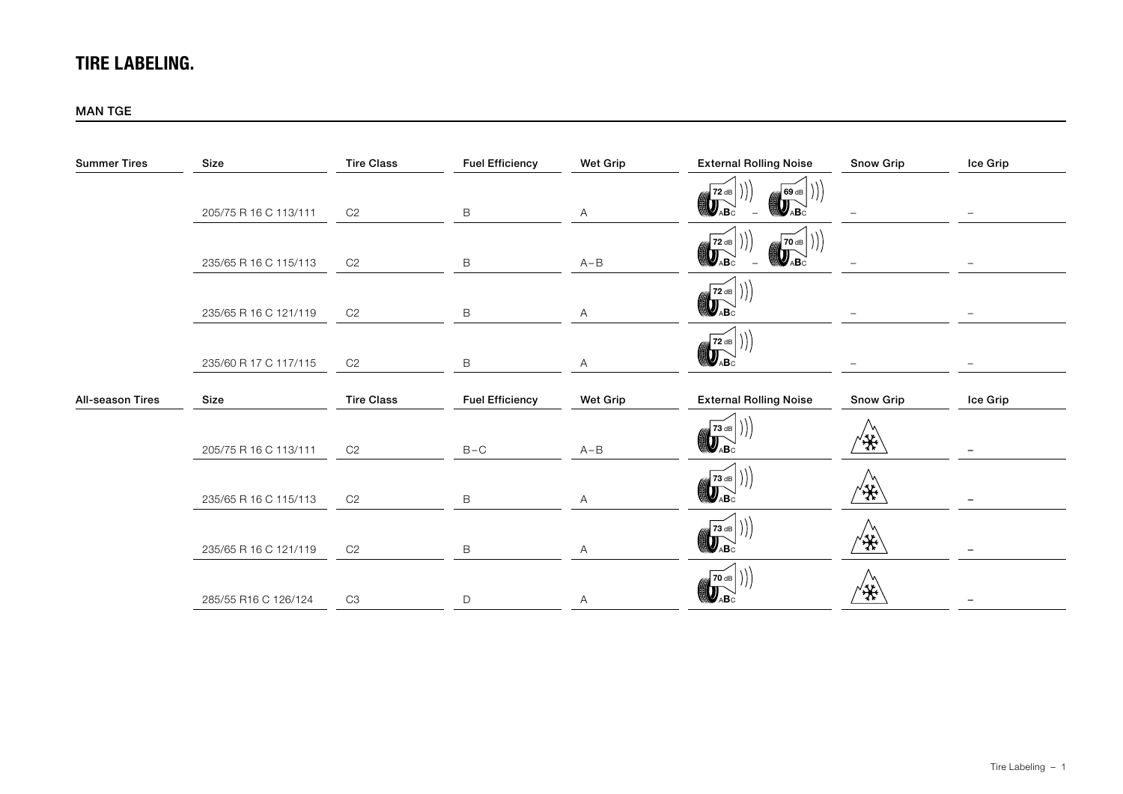# TIRE LABELING.

#### MAN TGE

| <b>Summer Tires</b>     | Size                  | <b>Tire Class</b> | <b>Fuel Efficiency</b> | <b>Wet Grip</b> | <b>External Rolling Noise</b>                                                                                                                                      | <b>Snow Grip</b> | Ice Grip |
|-------------------------|-----------------------|-------------------|------------------------|-----------------|--------------------------------------------------------------------------------------------------------------------------------------------------------------------|------------------|----------|
|                         | 205/75 R 16 C 113/111 | C2                | $\,$ B                 | $\mathsf{A}$    | 72 dB<br>69 dB<br>$\mathbb{Q}_{\text{AB}}$<br>$\bigcirc \!\!\! \bigcirc_{\mathsf{ABC}}$                                                                            |                  |          |
|                         | 235/65 R 16 C 115/113 | C <sub>2</sub>    | $\,$ B                 | $A - B$         | $\left(\bigotimes_{A}\!\!{\mathbf{B}}_{\mathsf{C}}^{T2\;\mathrm{dB}}\right)$<br>$\begin{bmatrix} 70 & \text{dB} \\ \text{H} \\ \text{H} \\ \text{A} \end{bmatrix}$ |                  |          |
|                         | 235/65 R 16 C 121/119 | C2                | $\,$ B                 | $\mathsf{A}$    | $\begin{bmatrix} 72 & \text{dB} \\ \text{A} & \text{B} \end{bmatrix}$                                                                                              |                  |          |
|                         | 235/60 R 17 C 117/115 | C2                | $\,$ B                 | $\mathsf{A}$    | $\mathbb{Z}$ 72 dB $\vert$ $\rangle$<br>$\bigcirc$                                                                                                                 |                  |          |
| <b>All-season Tires</b> | Size                  | <b>Tire Class</b> | <b>Fuel Efficiency</b> | Wet Grip        | <b>External Rolling Noise</b>                                                                                                                                      | <b>Snow Grip</b> | Ice Grip |
|                         | 205/75 R 16 C 113/111 | C2                | $B - C$                | $A - B$         | <i>(∰</i> 73 dB<br><b>DABC</b>                                                                                                                                     | ′*               |          |
|                         | 235/65 R 16 C 115/113 | C <sub>2</sub>    | B                      | A               | $\begin{bmatrix} \overline{73} & \text{dB} \\ \overline{9} & \overline{9} \\ \text{AB} & \text{B} \end{bmatrix}$                                                   | ′*               |          |
|                         | 235/65 R 16 C 121/119 | C <sub>2</sub>    | $\,$ B                 | A               |                                                                                                                                                                    | ₩                |          |
|                         | 285/55 R16 C 126/124  | C3                | $\mathsf D$            | A               | $\left(\left(\begin{matrix} \overline{\mathbf{70}} & \mathbf{dB} \ \mathbf{Q} & \mathbf{AB} \end{matrix}\right)\right)$                                            | ₩                |          |